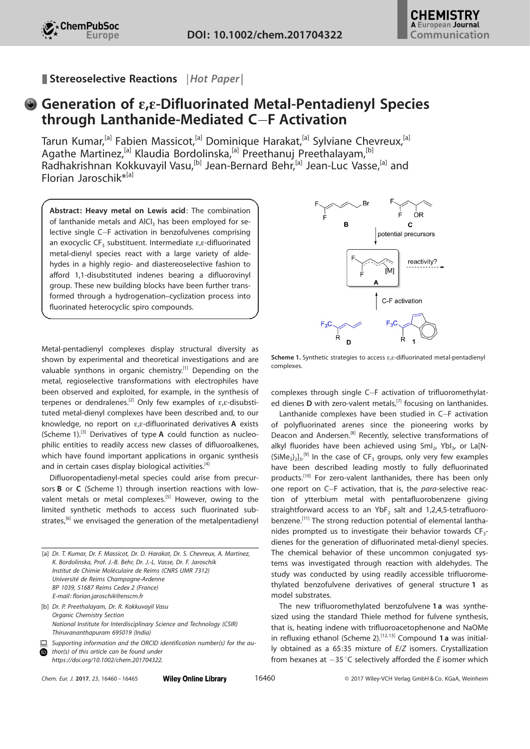Stereoselective Reactions | Hot Paper |

## Generation of e,e-Difluorinated Metal-Pentadienyl Species through Lanthanide-Mediated C-F Activation

Tarun Kumar,<sup>[a]</sup> Fabien Massicot,<sup>[a]</sup> Dominique Harakat,<sup>[a]</sup> Sylviane Chevreux,<sup>[a]</sup> Agathe Martinez,<sup>[a]</sup> Klaudia Bordolinska,<sup>[a]</sup> Preethanuj Preethalayam,<sup>[b]</sup> [Radhakrishnan Kokkuvayil](http://orcid.org/0000-0001-8909-3175) Vasu,<sup>[b]</sup> [Jean-Bernard](http://orcid.org/0000-0002-8998-8806) Behr,<sup>[a]</sup> Jean-Luc Vasse,<sup>[a]</sup> and [Florian Jaroschik\\*](http://orcid.org/0000-0003-0201-568X)<sup>[a]</sup>

Abstract: Heavy metal on Lewis acid: The combination of lanthanide metals and AlCl<sub>3</sub> has been employed for selective single C-F activation in benzofulvenes comprising an exocyclic CF<sub>3</sub> substituent. Intermediate  $\varepsilon$ , $\varepsilon$ -difluorinated metal-dienyl species react with a large variety of aldehydes in a highly regio- and diastereoselective fashion to afford 1,1-disubstituted indenes bearing a difluorovinyl group. These new building blocks have been further transformed through a hydrogenation–cyclization process into fluorinated heterocyclic spiro compounds.

Metal-pentadienyl complexes display structural diversity as shown by experimental and theoretical investigations and are valuable synthons in organic chemistry.<sup>[1]</sup> Depending on the metal, regioselective transformations with electrophiles have been observed and exploited, for example, in the synthesis of terpenes or dendralenes.<sup>[2]</sup> Only few examples of  $\varepsilon$ , $\varepsilon$ -disubstituted metal-dienyl complexes have been described and, to our knowledge, no report on  $\varepsilon$ , e-difluorinated derivatives A exists (Scheme 1).<sup>[3]</sup> Derivatives of type  $A$  could function as nucleophilic entities to readily access new classes of difluoroalkenes, which have found important applications in organic synthesis and in certain cases display biological activities.<sup>[4]</sup>

Difluoropentadienyl-metal species could arise from precursors B or C (Scheme 1) through insertion reactions with lowvalent metals or metal complexes.<sup>[5]</sup> However, owing to the limited synthetic methods to access such fluorinated substrates, $[6]$  we envisaged the generation of the metalpentadienyl

[a] Dr. T. Kumar, Dr. F. Massicot, Dr. D. Harakat, Dr. S. Chevreux, A. Martinez, K. Bordolinska, Prof. J.-B. Behr, Dr. J.-L. Vasse, Dr. F. Jaroschik Institut de Chimie Moléculaire de Reims (CNRS UMR 7312) Université de Reims Champagne-Ardenne BP 1039, 51687 Reims Cedex 2 (France) E-mail: florian.jaroschik@enscm.fr [b] Dr. P. Preethalayam, Dr. R. Kokkuvayil Vasu Organic Chemistry Section

National Institute for Interdisciplinary Science and Technology (CSIR) Thiruvananthapuram 695019 (India)

 $\Box$  Supporting information and the ORCID identification number(s) for the au-

thor(s) of this article can be found under [https://doi.org/10.1002/chem.201704322.](https://doi.org/10.1002/chem.201704322)



**Scheme 1.** Synthetic strategies to access  $\varepsilon$ ,  $\varepsilon$ -difluorinated metal-pentadienyl complexes.

complexes through single C-F activation of trifluoromethylated dienes **D** with zero-valent metals,<sup>[7]</sup> focusing on lanthanides.

Lanthanide complexes have been studied in C-F activation of polyfluorinated arenes since the pioneering works by Deacon and Andersen.<sup>[8]</sup> Recently, selective transformations of alkyl fluorides have been achieved using Sml<sub>2</sub>, Ybl<sub>3</sub>, or La[N- $(SiMe<sub>3</sub>)<sub>2</sub>l<sub>3</sub>$ .<sup>[9]</sup> In the case of CF<sub>3</sub> groups, only very few examples have been described leading mostly to fully defluorinated products.<sup>[10]</sup> For zero-valent lanthanides, there has been only one report on C-F activation, that is, the para-selective reaction of ytterbium metal with pentafluorobenzene giving straightforward access to an YbF<sub>2</sub> salt and 1,2,4,5-tetrafluorobenzene.<sup>[11]</sup> The strong reduction potential of elemental lanthanides prompted us to investigate their behavior towards  $CF_{3}$ dienes for the generation of difluorinated metal-dienyl species. The chemical behavior of these uncommon conjugated systems was investigated through reaction with aldehydes. The study was conducted by using readily accessible trifluoromethylated benzofulvene derivatives of general structure 1 as model substrates.

The new trifluoromethylated benzofulvene 1 a was synthesized using the standard Thiele method for fulvene synthesis, that is, heating indene with trifluoroacetophenone and NaOMe in refluxing ethanol (Scheme 2).<sup>[12,13]</sup> Compound 1 a was initially obtained as a 65:35 mixture of E/Z isomers. Crystallization from hexanes at  $-35^{\circ}$ C selectively afforded the E isomer which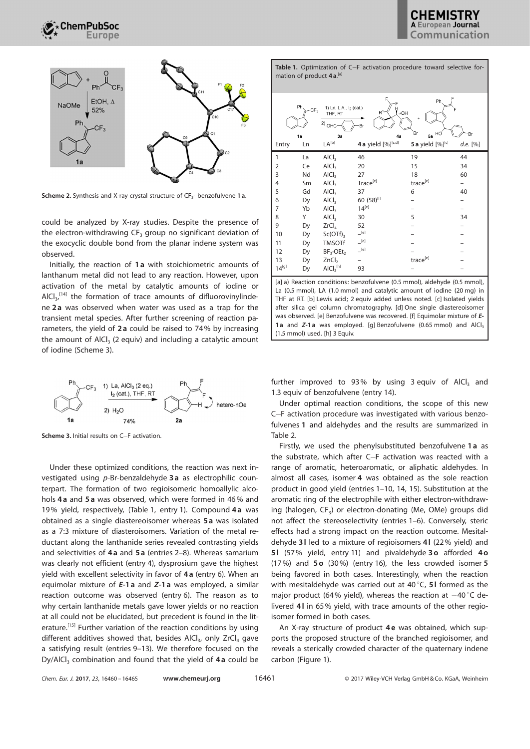

**Scheme 2.** Synthesis and X-ray crystal structure of  $CF_{3}$ - benzofulvene 1 a.

could be analyzed by X-ray studies. Despite the presence of the electron-withdrawing  $CF_3$  group no significant deviation of the exocyclic double bond from the planar indene system was observed.

Initially, the reaction of 1 a with stoichiometric amounts of lanthanum metal did not lead to any reaction. However, upon activation of the metal by catalytic amounts of iodine or  $AICI<sub>3</sub>$ ,  $^{[14]}$  the formation of trace amounts of difluorovinylindene 2a was observed when water was used as a trap for the transient metal species. After further screening of reaction parameters, the yield of 2 a could be raised to 74% by increasing the amount of AlCl $_3$  (2 equiv) and including a catalytic amount of iodine (Scheme 3).



Scheme 3. Initial results on C-F activation.

Under these optimized conditions, the reaction was next investigated using p-Br-benzaldehyde 3a as electrophilic counterpart. The formation of two regioisomeric homoallylic alcohols 4a and 5a was observed, which were formed in 46% and 19% yield, respectively, (Table 1, entry 1). Compound 4a was obtained as a single diastereoisomer whereas 5 a was isolated as a 7:3 mixture of diasteroisomers. Variation of the metal reductant along the lanthanide series revealed contrasting yields and selectivities of 4a and 5a (entries 2-8). Whereas samarium was clearly not efficient (entry 4), dysprosium gave the highest yield with excellent selectivity in favor of 4 a (entry 6). When an equimolar mixture of E-1a and Z-1a was employed, a similar reaction outcome was observed (entry 6). The reason as to why certain lanthanide metals gave lower yields or no reaction at all could not be elucidated, but precedent is found in the literature.<sup>[15]</sup> Further variation of the reaction conditions by using different additives showed that, besides AICI $_3$ , only ZrCI<sub>4</sub> gave a satisfying result (entries 9–13). We therefore focused on the  $Dy/AlCl<sub>3</sub>$  combination and found that the yield of 4a could be



Table 1. Optimization of C-F activation procedure toward selective for-

[a] a) Reaction conditions: benzofulvene (0.5 mmol), aldehyde (0.5 mmol), La (0.5 mmol), LA (1.0 mmol) and catalytic amount of iodine (20 mg) in THF at RT. [b] Lewis acid; 2 equiv added unless noted. [c] Isolated yields after silica gel column chromatography. [d] One single diastereoisomer was observed. [e] Benzofulvene was recovered. [f] Equimolar mixture of E-1a and  $Z$ -1a was employed. [q] Benzofulvene (0.65 mmol) and AlCl<sub>3</sub> (1.5 mmol) used. [h] 3 Equiv.

further improved to 93% by using 3 equiv of  $AICI_3$  and 1.3 equiv of benzofulvene (entry 14).

Under optimal reaction conditions, the scope of this new C-F activation procedure was investigated with various benzofulvenes 1 and aldehydes and the results are summarized in Table 2.

Firstly, we used the phenylsubstituted benzofulvene 1 a as the substrate, which after C-F activation was reacted with a range of aromatic, heteroaromatic, or aliphatic aldehydes. In almost all cases, isomer 4 was obtained as the sole reaction product in good yield (entries 1–10, 14, 15). Substitution at the aromatic ring of the electrophile with either electron-withdrawing (halogen, CF<sub>3</sub>) or electron-donating (Me, OMe) groups did not affect the stereoselectivity (entries 1–6). Conversely, steric effects had a strong impact on the reaction outcome. Mesitaldehyde 3l led to a mixture of regioisomers 4l (22% yield) and 5l (57% yield, entry 11) and pivaldehyde 3o afforded 4o (17%) and  $50$  (30%) (entry 16), the less crowded isomer  $5$ being favored in both cases. Interestingly, when the reaction with mesitaldehyde was carried out at  $40^{\circ}$ C, 51 formed as the major product (64% yield), whereas the reaction at  $-40^{\circ}$ C delivered 4l in 65% yield, with trace amounts of the other regioisomer formed in both cases.

An X-ray structure of product 4e was obtained, which supports the proposed structure of the branched regioisomer, and reveals a sterically crowded character of the quaternary indene carbon (Figure 1).

|  |  |  |  | Chem. Eur. J. 2017, 23, 16460 - 16465 |  |
|--|--|--|--|---------------------------------------|--|
|--|--|--|--|---------------------------------------|--|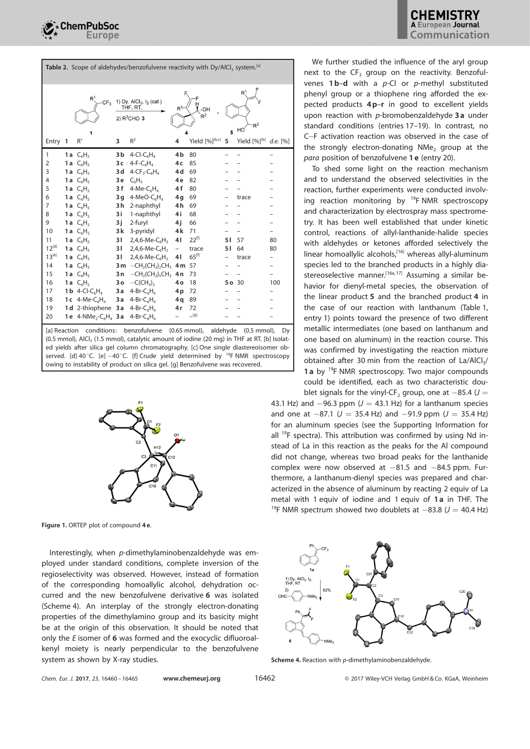| Table 2. Scope of aldehydes/benzofulvene reactivity with Dy/AICI, system. <sup>[a]</sup> |        |                                                         |                                                                                                                                        |                                                     |                   |                              |       |                          |            |  |  |
|------------------------------------------------------------------------------------------|--------|---------------------------------------------------------|----------------------------------------------------------------------------------------------------------------------------------------|-----------------------------------------------------|-------------------|------------------------------|-------|--------------------------|------------|--|--|
|                                                                                          |        | CF <sub>3</sub><br>1                                    | 1) Dy, AICI <sub>3</sub> , I <sub>2</sub> (cat.)<br>THF, RT,<br>$R^{1}$<br>"ОН<br>$R^2$<br>2) $R^2$ CHO 3<br>$\mathsf{R}^2$<br>HO<br>5 |                                                     |                   |                              |       |                          |            |  |  |
| Entry 1                                                                                  |        | R <sup>1</sup>                                          | 3                                                                                                                                      | $R^2$                                               | 4                 | Yield [%][b,c]               | 5     | Yield [%] <sup>[b]</sup> | $d.e.$ [%] |  |  |
| 1                                                                                        |        | 1a $C_6H_5$                                             | 3 b                                                                                                                                    | 4-Cl-C <sub>6</sub> H <sub>4</sub>                  | 4b                | 80                           |       |                          |            |  |  |
| 2                                                                                        |        | 1a $C_6H_5$                                             | 3 <sub>c</sub>                                                                                                                         | $4-F-C6H4$                                          | 4c                | 85                           |       |                          |            |  |  |
| 3                                                                                        |        | 1 <b>a</b> $C_6H_5$                                     | 3 d                                                                                                                                    | $4$ -CF <sub>3</sub> -C <sub>6</sub> H <sub>4</sub> | 4 d               | 69                           |       |                          |            |  |  |
| 4                                                                                        |        | 1a $C_6H_5$                                             | 3e                                                                                                                                     | $C_6H_5$                                            | 4e                | 82                           |       |                          |            |  |  |
| 5                                                                                        |        | 1a $C_6H_5$                                             | 3f                                                                                                                                     | 4-Me- $C_6H_4$                                      | 4 f               | 80                           |       |                          |            |  |  |
| 6                                                                                        |        | 1a $C_6H_5$                                             | 3g                                                                                                                                     | 4-MeO- $C_6H_4$                                     | 4g                | 69                           |       | trace                    |            |  |  |
| 7                                                                                        |        | 1a $C_6H_5$                                             | 3h                                                                                                                                     | 2-naphthyl                                          | 4h                | 69                           |       |                          |            |  |  |
| 8                                                                                        |        | 1 <b>a</b> $C_6H_5$                                     | 3i                                                                                                                                     | 1-naphthyl                                          | 4i                | 68                           |       |                          |            |  |  |
| 9                                                                                        |        | 1a $C_6H_5$                                             | 3 j                                                                                                                                    | 2-furyl                                             | 4i                | 66                           |       |                          |            |  |  |
| 10                                                                                       |        | 1a $C_6H_5$                                             | 3 k                                                                                                                                    | 3-pyridyl                                           | 4k                | 71                           |       |                          |            |  |  |
| 11                                                                                       |        | 1 <b>a</b> $C_6H_5$                                     | 31                                                                                                                                     | 2,4,6-Me- $C_6H_2$                                  | 41                | $22^{[f]}$                   | 51    | 57                       | 80         |  |  |
| $12^{[d]}$                                                                               |        | 1 a $C_6H_5$                                            | 31                                                                                                                                     | $2,4,6$ -Me-C <sub>6</sub> H <sub>2</sub>           | $\qquad \qquad -$ | trace                        | 51    | 64                       | 80         |  |  |
| $13^{[e]}$                                                                               |        | 1a $C_6H_5$                                             | 31                                                                                                                                     | 2,4,6-Me- $C_6H_2$                                  | 41                | $65^{[f]}$                   |       | trace                    |            |  |  |
| 14                                                                                       |        | 1 <b>a</b> $C_6H_5$                                     |                                                                                                                                        | 3 m $-CH2(CH2)2CH3$ 4 m                             |                   | 57                           |       |                          |            |  |  |
| 15                                                                                       |        | 1a $C_6H_5$                                             | 3 n                                                                                                                                    | $-CH2(CH2)5CH3$ 4n                                  |                   | 73                           |       |                          |            |  |  |
| 16                                                                                       |        | 1 a $C_6H_5$                                            | 3 o                                                                                                                                    | $-C(CH_3)$                                          | 4о                | 18                           | 5o 30 |                          | 100        |  |  |
| 17                                                                                       |        | 1 <b>b</b> 4-Cl-C <sub>6</sub> H <sub>4</sub>           | 3 a                                                                                                                                    | 4-Br- $C_6H_4$                                      | 4p                | 72                           |       |                          |            |  |  |
| 18                                                                                       |        | 1 c $4$ -Me-C <sub>6</sub> H <sub>4</sub>               | 3a                                                                                                                                     | 4-Br- $C_6H_4$                                      | 4q                | 89                           |       |                          |            |  |  |
| 19                                                                                       |        | 1d 2-thiophene 3a                                       |                                                                                                                                        | 4-Br- $C_6H_4$                                      | 4r                | 72                           |       |                          |            |  |  |
| 20                                                                                       |        | 1e 4-NMe <sub>2</sub> -C <sub>6</sub> H <sub>4</sub> 3a |                                                                                                                                        | 4-Br- $C_6H_4$                                      |                   | $\overline{\phantom{a}}$ [g] |       |                          |            |  |  |
| 5.3 <sub>D</sub>                                                                         | $\sim$ |                                                         |                                                                                                                                        | $\sim$ $\sim$                                       | $\sqrt{2}$        |                              |       |                          |            |  |  |

[a] Reaction conditions: benzofulvene (0.65 mmol), aldehyde (0.5 mmol), Dy (0.5 mmol), AlCl $_3$  (1.5 mmol), catalytic amount of iodine (20 mg) in THF at RT. [b] Isolated yields after silica gel column chromatography. [c] One single diastereoisomer observed. [d] 40 $^{\circ}$ C. [e]  $-40^{\circ}$ C. [f] Crude yield determined by  $^{19}$ F NMR spectroscopy owing to instability of product on silica gel. [g] Benzofulvene was recovered.



Figure 1. ORTEP plot of compound 4 e.

Interestingly, when p-dimethylaminobenzaldehyde was employed under standard conditions, complete inversion of the regioselectivity was observed. However, instead of formation of the corresponding homoallylic alcohol, dehydration occurred and the new benzofulvene derivative 6 was isolated (Scheme 4). An interplay of the strongly electron-donating properties of the dimethylamino group and its basicity might be at the origin of this observation. It should be noted that only the E isomer of 6 was formed and the exocyclic difluoroalkenyl moiety is nearly perpendicular to the benzofulvene system as shown by X-ray studies.

We further studied the influence of the aryl group next to the  $CF_3$  group on the reactivity. Benzofulvenes  $1\,\mathrm{b}$ -d with a p-Cl or p-methyl substituted phenyl group or a thiophene ring afforded the expected products 4 p–r in good to excellent yields upon reaction with p-bromobenzaldehyde 3a under standard conditions (entries 17–19). In contrast, no C-F activation reaction was observed in the case of the strongly electron-donating  $NMe<sub>2</sub>$  group at the para position of benzofulvene 1 e (entry 20).

To shed some light on the reaction mechanism and to understand the observed selectivities in the reaction, further experiments were conducted involving reaction monitoring by  $^{19}$ F NMR spectroscopy and characterization by electrospray mass spectrometry. It has been well established that under kinetic control, reactions of allyl-lanthanide-halide species with aldehydes or ketones afforded selectively the linear homoallylic alcohols,<sup>[16]</sup> whereas allyl-aluminum species led to the branched products in a highly diastereoselective manner.<sup>[16a, 17]</sup> Assuming a similar behavior for dienyl-metal species, the observation of the linear product 5 and the branched product 4 in the case of our reaction with lanthanum (Table 1, entry 1) points toward the presence of two different metallic intermediates (one based on lanthanum and one based on aluminum) in the reaction course. This was confirmed by investigating the reaction mixture obtained after 30 min from the reaction of  $La/AlCl<sub>3</sub>/$ 1 a by  $^{19}$ F NMR spectroscopy. Two major compounds could be identified, each as two characteristic doublet signals for the vinyl-CF<sub>2</sub> group, one at  $-85.4$  (J =

43.1 Hz) and  $-96.3$  ppm ( $J = 43.1$  Hz) for a lanthanum species and one at  $-87.1$  ( $J = 35.4$  Hz) and  $-91.9$  ppm ( $J = 35.4$  Hz) for an aluminum species (see the Supporting Information for all  $^{19}$ F spectra). This attribution was confirmed by using Nd instead of La in this reaction as the peaks for the Al compound did not change, whereas two broad peaks for the lanthanide complex were now observed at  $-81.5$  and  $-84.5$  ppm. Furthermore, a lanthanum-dienyl species was prepared and characterized in the absence of aluminum by reacting 2 equiv of La metal with 1 equiv of iodine and 1 equiv of 1 a in THF. The <sup>19</sup>F NMR spectrum showed two doublets at  $-83.8$  ( $J = 40.4$  Hz)



Scheme 4. Reaction with p-dimethylaminobenzaldehyde.

Chem. Eur. J. 2017, 23, 16460 – 16465 [www.chemeurj.org](http://www.chemeurj.org) 16462 Chem. Eur. J. 2017 Wiley-VCH Verlag GmbH & Co. KGaA, Weinheim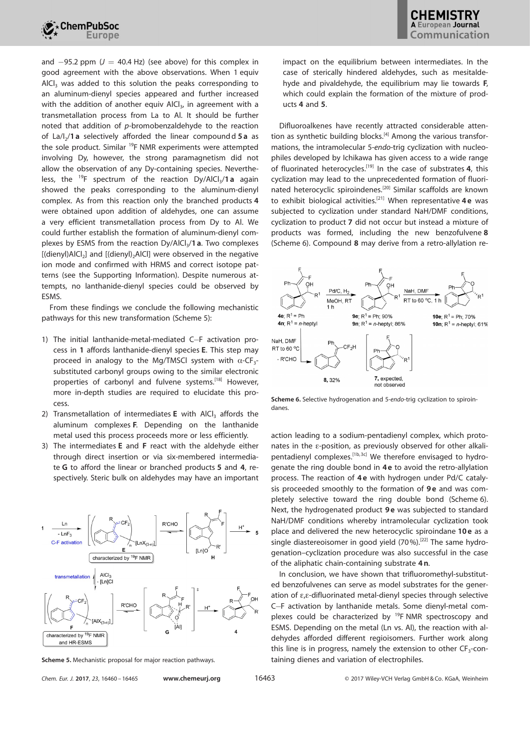

and  $-95.2$  ppm ( $J = 40.4$  Hz) (see above) for this complex in good agreement with the above observations. When 1 equiv  $AICI<sub>3</sub>$  was added to this solution the peaks corresponding to an aluminum-dienyl species appeared and further increased with the addition of another equiv AlCl $_3$ , in agreement with a transmetallation process from La to Al. It should be further noted that addition of p-bromobenzaldehyde to the reaction of La/l<sub>2</sub>/1 a selectively afforded the linear compoundd 5 a as the sole product. Similar <sup>19</sup>F NMR experiments were attempted involving Dy, however, the strong paramagnetism did not allow the observation of any Dy-containing species. Nevertheless, the <sup>19</sup>F spectrum of the reaction  $Dy/AlCl<sub>3</sub>/1a$  again showed the peaks corresponding to the aluminum-dienyl complex. As from this reaction only the branched products 4 were obtained upon addition of aldehydes, one can assume a very efficient transmetallation process from Dy to Al. We could further establish the formation of aluminum-dienyl complexes by ESMS from the reaction Dy/AlCl<sub>3</sub>/1 **a**. Two complexes [(dienyl)AlCl<sub>2</sub>] and [(dienyl)<sub>2</sub>AlCl] were observed in the negative ion mode and confirmed with HRMS and correct isotope patterns (see the Supporting Information). Despite numerous attempts, no lanthanide-dienyl species could be observed by ESMS.

From these findings we conclude the following mechanistic pathways for this new transformation (Scheme 5):

- 1) The initial lanthanide-metal-mediated C-F activation process in 1 affords lanthanide-dienyl species E. This step may proceed in analogy to the Mg/TMSCI system with  $\alpha$ -CF<sub>3</sub>substituted carbonyl groups owing to the similar electronic properties of carbonyl and fulvene systems.<sup>[18]</sup> However, more in-depth studies are required to elucidate this process.
- 2) Transmetallation of intermediates  $E$  with AlCl<sub>3</sub> affords the aluminum complexes F. Depending on the lanthanide metal used this process proceeds more or less efficiently.
- 3) The intermediates E and F react with the aldehyde either through direct insertion or via six-membered intermediate G to afford the linear or branched products 5 and 4, respectively. Steric bulk on aldehydes may have an important



Chem. Eur. J. 2017, 23, 16460 – 16465 [www.chemeurj.org](http://www.chemeurj.org) 16463 © 2017 Wiley-VCH Verlag GmbH & Co. KGaA, Weinheim

impact on the equilibrium between intermediates. In the case of sterically hindered aldehydes, such as mesitaldehyde and pivaldehyde, the equilibrium may lie towards F, which could explain the formation of the mixture of products 4 and 5.

Difluoroalkenes have recently attracted considerable attention as synthetic building blocks.<sup>[4]</sup> Among the various transformations, the intramolecular 5-endo-trig cyclization with nucleophiles developed by Ichikawa has given access to a wide range of fluorinated heterocycles.<sup>[19]</sup> In the case of substrates 4, this cyclization may lead to the unprecedented formation of fluorinated heterocyclic spiroindenes.[20] Similar scaffolds are known to exhibit biological activities.<sup>[21]</sup> When representative  $4e$  was subjected to cyclization under standard NaH/DMF conditions, cyclization to product 7 did not occur but instead a mixture of products was formed, including the new benzofulvene 8 (Scheme 6). Compound 8 may derive from a retro-allylation re-



Scheme 6. Selective hydrogenation and 5-endo-trig cyclization to spiroindanes.

action leading to a sodium-pentadienyl complex, which protonates in the e-position, as previously observed for other alkalipentadienyl complexes.<sup>[1b, 3c]</sup> We therefore envisaged to hydrogenate the ring double bond in 4 e to avoid the retro-allylation process. The reaction of 4 e with hydrogen under Pd/C catalysis proceeded smoothly to the formation of 9e and was completely selective toward the ring double bond (Scheme 6). Next, the hydrogenated product 9e was subjected to standard NaH/DMF conditions whereby intramolecular cyclization took place and delivered the new heterocyclic spiroindane 10e as a single diastereoisomer in good yield  $(70\%)$ .<sup>[22]</sup> The same hydrogenation–cyclization procedure was also successful in the case of the aliphatic chain-containing substrate 4 n.

In conclusion, we have shown that trifluoromethyl-substituted benzofulvenes can serve as model substrates for the generation of  $\varepsilon_{\rm r}$  e-difluorinated metal-dienyl species through selective C-F activation by lanthanide metals. Some dienyl-metal complexes could be characterized by <sup>19</sup>F NMR spectroscopy and ESMS. Depending on the metal (Ln vs. Al), the reaction with aldehydes afforded different regioisomers. Further work along this line is in progress, namely the extension to other  $CF_3$ -con-Scheme 5. Mechanistic proposal for major reaction pathways. The staining dienes and variation of electrophiles.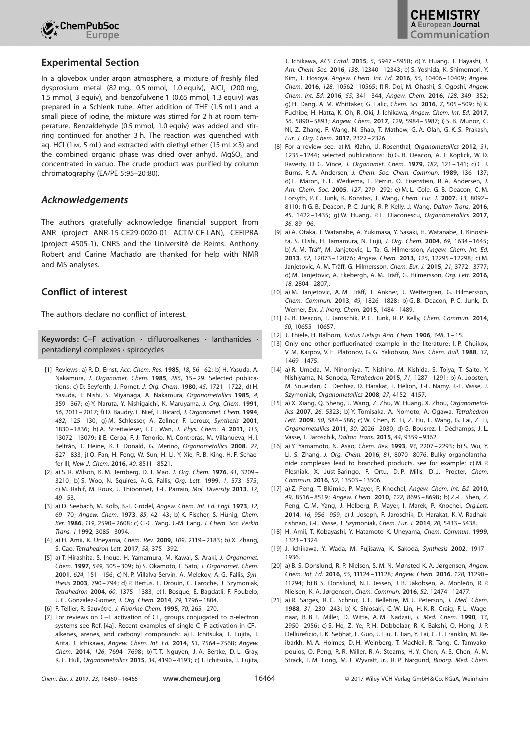

## Experimental Section

In a glovebox under argon atmosphere, a mixture of freshly filed dysprosium metal (82 mg, 0.5 mmol, 1.0 equiv), AlCl<sub>3</sub> (200 mg, 1.5 mmol, 3 equiv), and benzofulvene 1 (0.65 mmol, 1.3 equiv) was prepared in a Schlenk tube. After addition of THF (1.5 mL) and a small piece of iodine, the mixture was stirred for 2 h at room temperature. Benzaldehyde (0.5 mmol, 1.0 equiv) was added and stirring continued for another 3 h. The reaction was quenched with ag. HCl (1  $\mu$ , 5 mL) and extracted with diethyl ether (15 mL $\times$ 3) and the combined organic phase was dried over anhyd. MgSO<sub>4</sub> and concentrated in vacuo. The crude product was purified by column chromatography (EA/PE 5:95–20:80).

## Acknowledgements

The authors gratefully acknowledge financial support from ANR (project ANR-15-CE29-0020-01 ACTIV-CF-LAN), CEFIPRA (project 4505-1), CNRS and the Université de Reims. Anthony Robert and Carine Machado are thanked for help with NMR and MS analyses.

## Conflict of interest

The authors declare no conflict of interest.

**Keywords:** C-F activation  $\cdot$  difluoroalkenes  $\cdot$  lanthanides  $\cdot$ pentadienyl complexes · spirocycles

- [1] Reviews: a) R. D. Ernst, [Acc. Chem.](https://doi.org/10.1021/ar00110a005) Res. 1985, 18, 56-62; b) H. Yasuda, A. Nakamura, J. [Organomet.](https://doi.org/10.1016/0022-328X(85)87353-8) Chem. 1985, 285, 15-29. Selected publications: c) D. Seyferth, J. Pornet, J. Org. Chem. 1980, 45[, 1721](https://doi.org/10.1021/jo01297a053) [– 1722](https://doi.org/10.1021/jo01297a053); d) H. Yasuda, T. Nishi, S. Miyanaga, A. Nakamura, [Organometallics](https://doi.org/10.1021/om00121a030) 1985, 4, [359– 367](https://doi.org/10.1021/om00121a030); e) Y. Naruta, Y. Nishigaichi, K. Maruyama, J. Org. [Chem.](https://doi.org/10.1021/jo00006a011) 1991, 56[, 2011 –](https://doi.org/10.1021/jo00006a011) 2017; f) D. Baudry, F. Nief, L. Ricard, J. [Organomet.](https://doi.org/10.1016/0022-328X(94)88193-6) Chem. 1994, 482[, 125– 130](https://doi.org/10.1016/0022-328X(94)88193-6); g) M. Schlosser, A. Zellner, F. Leroux, [Synthesis](https://doi.org/10.1055/s-2001-17521) 2001, [1830](https://doi.org/10.1055/s-2001-17521) [– 1836](https://doi.org/10.1055/s-2001-17521); h) A. Streitwieser, I. C. Wan, J. Phys. [Chem.](https://doi.org/10.1021/jp205047f) A 2011, 115, [13072](https://doi.org/10.1021/jp205047f) [– 13079](https://doi.org/10.1021/jp205047f); i) E. Cerpa, F. J. Tenorio, M. Contreras, M. Villanueva, H. I. Beltrán, T. Heine, K. J. Donald, G. Merino, [Organometallics](https://doi.org/10.1021/om070244t) 2008, 27, [827– 833](https://doi.org/10.1021/om070244t); j) Q. Fan, H. Feng, W. Sun, H. Li, Y. Xie, R. B. King, H. F. Schaefer III, New J. Chem. 2016, 40[, 8511 –8521.](https://doi.org/10.1039/C6NJ00379F)
- [2] a) S. R. Wilson, K. M. Jernberg, D. T. Mao, J. Org. Chem. 1976, 41[, 3209](https://doi.org/10.1021/jo00881a035) -[3210](https://doi.org/10.1021/jo00881a035); b) S. Woo, N. Squires, A. G. Fallis, [Org. Lett.](https://doi.org/10.1021/ol990695c) 1999, 1[, 573– 575](https://doi.org/10.1021/ol990695c); c) M. Rahif, M. Roux, J. Thibonnet, J.-L. Parrain, Mol. [Diversity](https://doi.org/10.1007/s11030-012-9418-6) 2013, 17,  $49 - 53$ .
- [3] a) D. Seebach, M. Kolb, B.-T. Grödel, [Angew. Chem.](https://doi.org/10.1002/anie.197300691) Int. Ed. Engl. 1973, 12, 69–70; [Angew. Chem.](https://doi.org/10.1002/ange.19730850110) 1973, 85, 42–43; b) K. Fischer, S. Hünig, [Chem.](https://doi.org/10.1002/cber.19861190817) Ber. 1986, 119[, 2590](https://doi.org/10.1002/cber.19861190817) [– 2608](https://doi.org/10.1002/cber.19861190817); c) C.-C. Yang, J.-M. Fang, J. [Chem.](https://doi.org/10.1039/P19920003085) Soc. Perkin Trans. 1 1992[, 3085](https://doi.org/10.1039/P19920003085) [– 3094.](https://doi.org/10.1039/P19920003085)
- [4] a) H. Amii, K. Uneyama, [Chem. Rev.](https://doi.org/10.1021/cr800388c) 2009, 109[, 2119 –2183](https://doi.org/10.1021/cr800388c); b) X. Zhang, S. Cao, [Tetrahedron](https://doi.org/10.1016/j.tetlet.2016.12.054) Lett. 2017, 58, 375 – 392.
- [5] a) T. Hirashita, S. Inoue, H. Yamamura, M. Kawai, S. Araki, J. [Organomet.](https://doi.org/10.1016/S0022-328X(97)00513-5) [Chem.](https://doi.org/10.1016/S0022-328X(97)00513-5) 1997, 549[, 305– 309](https://doi.org/10.1016/S0022-328X(97)00513-5); b) S. Okamoto, F. Sato, J. [Organomet.](https://doi.org/10.1016/S0022-328X(00)00911-6) Chem. 2001, 624[, 151– 156](https://doi.org/10.1016/S0022-328X(00)00911-6); c) N. P. Villalva-Servin, A. Melekov, A. G. Fallis, Synthesis 2003, 790– 794; d) P. Bertus, L. Drouin, C. Laroche, J. Szymoniak, [Tetrahedron](https://doi.org/10.1016/j.tet.2003.08.065) 2004, 60, 1375 – 1383; e) I. Bosque, E. Bagdatli, F. Foubelo, J. C. Gonzalez-Gomez, J. Org. [Chem.](https://doi.org/10.1021/jo402854z) 2014, 79, 1796 [– 1804.](https://doi.org/10.1021/jo402854z)
- [6] F. Tellier, R. Sauvêtre, J. [Fluorine Chem.](https://doi.org/10.1016/0022-1139(94)03126-K) 1995, 70, 265-270.
- [7] For reviews on C-F activation of CF<sub>3</sub> groups conjugated to  $\pi$ -electron systems see Ref. [4a]. Recent examples of single C $-$ F activation in CF $_3$ alkenes, arenes, and carbonyl compounds: a) T. Ichitsuka, T. Fujita, T. Arita, J. Ichikawa, [Angew. Chem. Int.](https://doi.org/10.1002/anie.201402695) Ed. 2014, 53, 7564 – 7568; [Angew.](https://doi.org/10.1002/ange.201402695) Chem. 2014, 126[, 7694– 7698](https://doi.org/10.1002/ange.201402695); b) T. T. Nguyen, J. A. Bertke, D. L. Gray, K. L. Hull, [Organometallics](https://doi.org/10.1021/acs.organomet.5b00470) 2015, 34, 4190 – 4193; c) T. Ichitsuka, T. Fujita,

J. Ichikawa, ACS Catal. 2015, 5[, 5947](https://doi.org/10.1021/acscatal.5b01463) [– 5950](https://doi.org/10.1021/acscatal.5b01463); d) Y. Huang, T. Hayashi, [J.](https://doi.org/10.1021/jacs.6b07844) Am. [Chem. Soc.](https://doi.org/10.1021/jacs.6b07844) 2016, 138[, 12340 –12343](https://doi.org/10.1021/jacs.6b07844); e) S. Yoshida, K. Shimomori, Y. Kim, T. Hosoya, [Angew. Chem.](https://doi.org/10.1002/anie.201604776) Int. Ed. 2016, 55, 10406 – 10409; [Angew.](https://doi.org/10.1002/ange.201604776) Chem. 2016, 128[, 10562](https://doi.org/10.1002/ange.201604776) [– 10565](https://doi.org/10.1002/ange.201604776); f) R. Doi, M. Ohashi, S. Ogoshi, [Angew.](https://doi.org/10.1002/anie.201508266) [Chem. Int.](https://doi.org/10.1002/anie.201508266) Ed. 2016, 55, 341 – 344; [Angew. Chem.](https://doi.org/10.1002/ange.201508266) 2016, 128, 349 – 352; g) H. Dang, A. M. Whittaker, G. Lalic, [Chem. Sci.](https://doi.org/10.1039/C5SC03415A) 2016, 7, 505 – 509; h) K. Fuchibe, H. Hatta, K. Oh, R. Oki, J. Ichikawa, [Angew. Chem.](https://doi.org/10.1002/anie.201701985) Int. Ed. 2017, 56[, 5890](https://doi.org/10.1002/anie.201701985) [– 5893](https://doi.org/10.1002/anie.201701985); [Angew. Chem.](https://doi.org/10.1002/ange.201701985) 2017, 129, 5984 – 5987; i) S. B. Munoz, C. Ni, Z. Zhang, F. Wang, N. Shao, T. Mathew, G. A. Olah, G. K. S. Prakash, [Eur. J. Org.](https://doi.org/10.1002/ejoc.201700396) Chem. 2017, 2322 – 2326.

- [8] For a review see: a) M. Klahn, U. Rosenthal, [Organometallics](https://doi.org/10.1021/om200978a) 2012, 31, [1235](https://doi.org/10.1021/om200978a) [– 1244](https://doi.org/10.1021/om200978a); selected publications: b) G. B. Deacon, A. J. Koplick, W. D. Raverty, D. G. Vince, J. [Organomet.](https://doi.org/10.1016/S0022-328X(00)85882-9) Chem. 1979, 182, 121– 141; c) C. J. Burns, R. A. Andersen, J. [Chem. Soc.](https://doi.org/10.1039/C39890000136) Chem. Commun. 1989, 136– 137; d) L. Maron, E. L. Werkema, L. Perrin, O. Eisenstein, R. A. Andersen, [J.](https://doi.org/10.1021/ja0451012) Am. [Chem.](https://doi.org/10.1021/ja0451012) Soc. 2005, 127[, 279– 292](https://doi.org/10.1021/ja0451012); e) M. L. Cole, G. B. Deacon, C. M. Forsyth, P. C. Junk, K. Konstas, J. Wang, [Chem. Eur. J.](https://doi.org/10.1002/chem.200700963) 2007, 13, 8092 – [8110](https://doi.org/10.1002/chem.200700963); f) G. B. Deacon, P. C. Junk, R. P. Kelly, J. Wang, [Dalton](https://doi.org/10.1039/C5DT04239A) Trans. 2016, 45[, 1422](https://doi.org/10.1039/C5DT04239A)-1435; g) W. Huang, P.L. Diaconescu, [Organometallics](https://doi.org/10.1021/acs.organomet.6b00661) 2017, 36[, 89 –](https://doi.org/10.1021/acs.organomet.6b00661) 96.
- [9] a) A. Otaka, J. Watanabe, A. Yukimasa, Y. Sasaki, H. Watanabe, T. Kinoshita, S. Oishi, H. Tamamura, N. Fujii, J. Org. Chem. 2004, 69[, 1634– 1645](https://doi.org/10.1021/jo035709d); b) A. M. Träff, M. Janjetovic, L. Ta, G. Hilmersson, [Angew. Chem. Int.](https://doi.org/10.1002/anie.201306104) Ed. 2013, 52[, 12073 –](https://doi.org/10.1002/anie.201306104) 12076; [Angew. Chem.](https://doi.org/10.1002/ange.201306104) 2013, 125, 12295 – 12298; c) M. Janjetovic, A. M. Träff, G. Hilmersson, [Chem.](https://doi.org/10.1002/chem.201406097) Eur. J. 2015, 21, 3772-3777; d) M. Janjetovic, A. Ekebergh, A. M. Träff, G. Hilmersson, Org. Lett. [2016](https://doi.org/10.1021/acs.orglett.6b01022), 18[, 2804](https://doi.org/10.1021/acs.orglett.6b01022) [– 2807,](https://doi.org/10.1021/acs.orglett.6b01022).
- [10] a) M. Janjetovic, A. M. Träff, T. Ankner, J. Wettergren, G. Hilmersson, [Chem. Commun.](https://doi.org/10.1039/c3cc37828d) 2013, 49, 1826 – 1828; b) G. B. Deacon, P. C. Junk, D. Werner, [Eur. J. Inorg. Chem.](https://doi.org/10.1002/ejic.201500137) 2015, 1484 – 1489.
- [11] G. B. Deacon, F. Jaroschik, P. C. Junk, R. P. Kelly, [Chem. Commun.](https://doi.org/10.1039/C4CC04427D) 2014, 50[, 10655 –10657.](https://doi.org/10.1039/C4CC04427D)
- [12] J. Thiele, H. Balhorn, Justus [Liebigs](https://doi.org/10.1002/jlac.19063480102) Ann. Chem. 1906, 348, 1 15.
- [13] Only one other perfluorinated example in the literature: I. P. Chuikov, V. M. Karpov, V. E. Platonov, G. G. Yakobson, [Russ. Chem.](https://doi.org/10.1007/BF00962765) Bull. 1988, 37, [1469](https://doi.org/10.1007/BF00962765) [– 1475](https://doi.org/10.1007/BF00962765).
- [14] a) R. Umeda, M. Ninomiya, T. Nishino, M. Kishida, S. Toiya, T. Saito, Y. Nishiyama, N. Sonoda, [Tetrahedron](https://doi.org/10.1016/j.tet.2014.12.089) 2015, 71, 1287 – 1291; b) A. Joosten, M. Soueidan, C. Denhez, D. Harakat, F. Hélion, J.-L. Namy, J.-L. Vasse, J. Szymoniak, [Organometallics](https://doi.org/10.1021/om8002703) 2008, 27, 4152-4157.
- [15] a) X. Xiang, Q. Sheng, J. Wang, Z. Zhu, W. Huang, X. Zhou, [Organometal](https://doi.org/10.1021/om7006826)lics 2007, 26[, 5323](https://doi.org/10.1021/om7006826); b) Y. Tomisaka, A. Nomoto, A. Ogawa, [Tetrahedron](https://doi.org/10.1016/j.tetlet.2008.11.077) Lett. 2009, 50[, 584– 586](https://doi.org/10.1016/j.tetlet.2008.11.077); c) W. Chen, K. Li, Z. Hu, L. Wang, G. Lai, Z. Li, [Organometallics](https://doi.org/10.1021/om200080f) 2011, 30, 2026-2030; d) G. Bousrez, I. Déchamps, J.-L. Vasse, F. Jaroschik, [Dalton](https://doi.org/10.1039/C4DT03979C) Trans. 2015, 44, 9359 – 9362.
- [16] a) Y. Yamamoto, N. Asao, Chem. Rev. 1993, 93[, 2207](https://doi.org/10.1021/cr00022a010)-2293; b) S. Wu, Y. Li, S. Zhang, J. Org. Chem. 2016, 81[, 8070](https://doi.org/10.1021/acs.joc.6b01466) – 8076. Bulky organolanthanide complexes lead to branched products, see for example: c) M. P. Plesniak, X. Just-Baringo, F. Ortu, D. P. Mills, D. J. Procter, [Chem.](https://doi.org/10.1039/C6CC07318B) [Commun.](https://doi.org/10.1039/C6CC07318B) 2016, 52, 13503 – 13506.
- [17] a) Z. Peng, T. Blümke, P. Mayer, P. Knochel, [Angew.](https://doi.org/10.1002/anie.201003813) Chem. Int. Ed. 2010, 49[, 8516](https://doi.org/10.1002/anie.201003813) – 8519; [Angew.](https://doi.org/10.1002/ange.201003813) Chem. 2010, 122, 8695 – 8698; b) Z.-L. Shen, Z. Peng, C.-M. Yang, J. Helberg, P. Mayer, I. Marek, P. Knochel, [Org.Lett.](https://doi.org/10.1021/ol403692k) 2014, 16[, 956– 959](https://doi.org/10.1021/ol403692k); c) J. Joseph, F. Jaroschik, D. Harakat, K. V. Radhakrishnan, J.-L. Vasse, J. Szymoniak, Chem. Eur. J. 2014, 20[, 5433](https://doi.org/10.1002/chem.201304775) [– 5438](https://doi.org/10.1002/chem.201304775).
- [18] H. Amii, T. Kobayashi, Y. Hatamoto K. Uneyama, [Chem. Commun.](https://doi.org/10.1039/a903681d) 1999, [1323 –1324](https://doi.org/10.1039/a903681d).
- [19] J. Ichikawa, Y. Wada, M. Fujisawa, K. Sakoda, Synthesis 2002, 1917-1936.
- [20] a) B. S. Donslund, R. P. Nielsen, S. M. N. Mønsted K. A. Jørgensen, [Angew.](https://doi.org/10.1002/anie.201605079) Chem. Int. Ed. 2016, 55[, 11124](https://doi.org/10.1002/anie.201605079) [– 11128](https://doi.org/10.1002/anie.201605079); [Angew. Chem.](https://doi.org/10.1002/ange.201605079) 2016, 128, 11290 – [11294](https://doi.org/10.1002/ange.201605079); b) B. S. Donslund, N. I. Jessen, J. B. Jakobsen, A. Monleón, R. P. Nielsen, K. A. Jørgensen, [Chem. Commun.](https://doi.org/10.1039/C6CC07170H) 2016, 52, 12474 – 12477.
- [21] a) R. Sarges, R. C. Schnur, J. L. Belletire, M. J. Peterson, J. Med. [Chem.](https://doi.org/10.1021/jm00396a037) 1988, 31[, 230– 243](https://doi.org/10.1021/jm00396a037); b) K. Shiosaki, C. W. Lin, H. K. R. Craig, F. L. Wagenaar, B. B. T. Miller, D. Witte, A. M. Nadzaii, J. Med. [Chem.](https://doi.org/10.1021/jm00173a006) 1990, 33, [2950](https://doi.org/10.1021/jm00173a006) [– 2956](https://doi.org/10.1021/jm00173a006); c) S. He, Z. Ye, P. H. Dobbelaar, R. K. Bakshi, Q. Hong, J. P. Dellureficio, I. K. Sebhat, L. Guo, J. Liu, T. Jian, Y. Lai, C. L. Franklin, M. Reibarkh, M. A. Holmes, D. H. Weinberg, T. MacNeil, R. Tang, C. Tamvakopoulos, Q. Peng, R. R. Miller, R. A. Stearns, H. Y. Chen, A. S. Chen, A. M. Strack, T. M. Fong, M. J. Wyvratt, Jr., R. P. Nargund, [Bioorg.](https://doi.org/10.1016/j.bmcl.2010.09.049) Med. Chem.